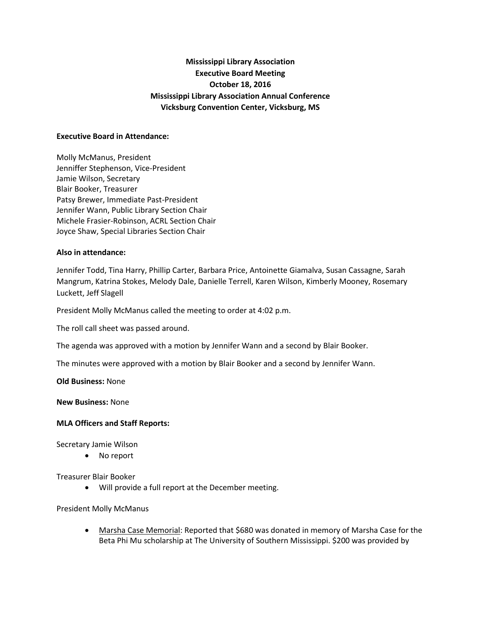# **Mississippi Library Association Executive Board Meeting October 18, 2016 Mississippi Library Association Annual Conference Vicksburg Convention Center, Vicksburg, MS**

## **Executive Board in Attendance:**

Molly McManus, President Jenniffer Stephenson, Vice-President Jamie Wilson, Secretary Blair Booker, Treasurer Patsy Brewer, Immediate Past-President Jennifer Wann, Public Library Section Chair Michele Frasier-Robinson, ACRL Section Chair Joyce Shaw, Special Libraries Section Chair

#### **Also in attendance:**

Jennifer Todd, Tina Harry, Phillip Carter, Barbara Price, Antoinette Giamalva, Susan Cassagne, Sarah Mangrum, Katrina Stokes, Melody Dale, Danielle Terrell, Karen Wilson, Kimberly Mooney, Rosemary Luckett, Jeff Slagell

President Molly McManus called the meeting to order at 4:02 p.m.

The roll call sheet was passed around.

The agenda was approved with a motion by Jennifer Wann and a second by Blair Booker.

The minutes were approved with a motion by Blair Booker and a second by Jennifer Wann.

**Old Business:** None

**New Business:** None

#### **MLA Officers and Staff Reports:**

Secretary Jamie Wilson

No report

Treasurer Blair Booker

Will provide a full report at the December meeting.

#### President Molly McManus

 Marsha Case Memorial: Reported that \$680 was donated in memory of Marsha Case for the Beta Phi Mu scholarship at The University of Southern Mississippi. \$200 was provided by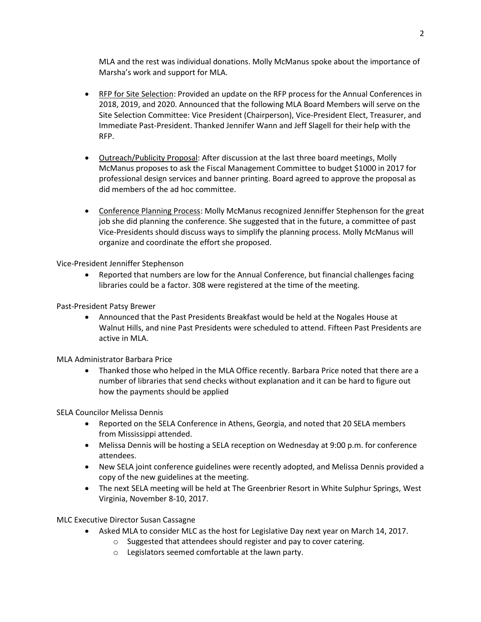MLA and the rest was individual donations. Molly McManus spoke about the importance of Marsha's work and support for MLA.

- RFP for Site Selection: Provided an update on the RFP process for the Annual Conferences in 2018, 2019, and 2020. Announced that the following MLA Board Members will serve on the Site Selection Committee: Vice President (Chairperson), Vice-President Elect, Treasurer, and Immediate Past-President. Thanked Jennifer Wann and Jeff Slagell for their help with the RFP.
- Outreach/Publicity Proposal: After discussion at the last three board meetings, Molly McManus proposes to ask the Fiscal Management Committee to budget \$1000 in 2017 for professional design services and banner printing. Board agreed to approve the proposal as did members of the ad hoc committee.
- Conference Planning Process: Molly McManus recognized Jenniffer Stephenson for the great job she did planning the conference. She suggested that in the future, a committee of past Vice-Presidents should discuss ways to simplify the planning process. Molly McManus will organize and coordinate the effort she proposed.

Vice-President Jenniffer Stephenson

 Reported that numbers are low for the Annual Conference, but financial challenges facing libraries could be a factor. 308 were registered at the time of the meeting.

Past-President Patsy Brewer

 Announced that the Past Presidents Breakfast would be held at the Nogales House at Walnut Hills, and nine Past Presidents were scheduled to attend. Fifteen Past Presidents are active in MLA.

MLA Administrator Barbara Price

 Thanked those who helped in the MLA Office recently. Barbara Price noted that there are a number of libraries that send checks without explanation and it can be hard to figure out how the payments should be applied

SELA Councilor Melissa Dennis

- Reported on the SELA Conference in Athens, Georgia, and noted that 20 SELA members from Mississippi attended.
- Melissa Dennis will be hosting a SELA reception on Wednesday at 9:00 p.m. for conference attendees.
- New SELA joint conference guidelines were recently adopted, and Melissa Dennis provided a copy of the new guidelines at the meeting.
- The next SELA meeting will be held at The Greenbrier Resort in White Sulphur Springs, West Virginia, November 8-10, 2017.

MLC Executive Director Susan Cassagne

- Asked MLA to consider MLC as the host for Legislative Day next year on March 14, 2017.
	- o Suggested that attendees should register and pay to cover catering.
		- o Legislators seemed comfortable at the lawn party.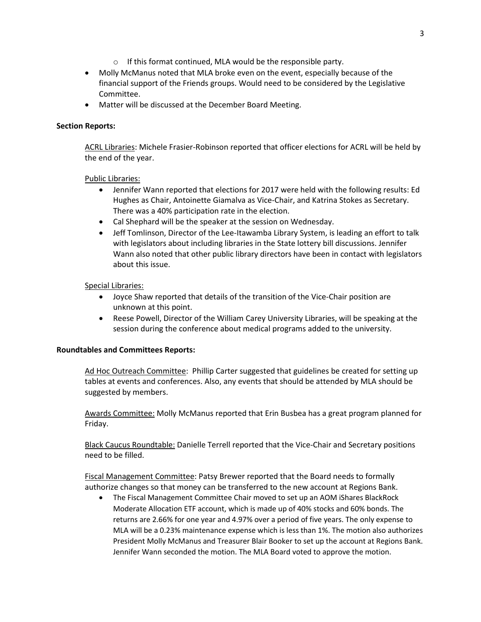- o If this format continued, MLA would be the responsible party.
- Molly McManus noted that MLA broke even on the event, especially because of the financial support of the Friends groups. Would need to be considered by the Legislative Committee.
- Matter will be discussed at the December Board Meeting.

## **Section Reports:**

ACRL Libraries: Michele Frasier-Robinson reported that officer elections for ACRL will be held by the end of the year.

## Public Libraries:

- Jennifer Wann reported that elections for 2017 were held with the following results: Ed Hughes as Chair, Antoinette Giamalva as Vice-Chair, and Katrina Stokes as Secretary. There was a 40% participation rate in the election.
- Cal Shephard will be the speaker at the session on Wednesday.
- Jeff Tomlinson, Director of the Lee-Itawamba Library System, is leading an effort to talk with legislators about including libraries in the State lottery bill discussions. Jennifer Wann also noted that other public library directors have been in contact with legislators about this issue.

## Special Libraries:

- Joyce Shaw reported that details of the transition of the Vice-Chair position are unknown at this point.
- Reese Powell, Director of the William Carey University Libraries, will be speaking at the session during the conference about medical programs added to the university.

## **Roundtables and Committees Reports:**

Ad Hoc Outreach Committee: Phillip Carter suggested that guidelines be created for setting up tables at events and conferences. Also, any events that should be attended by MLA should be suggested by members.

Awards Committee: Molly McManus reported that Erin Busbea has a great program planned for Friday.

Black Caucus Roundtable: Danielle Terrell reported that the Vice-Chair and Secretary positions need to be filled.

Fiscal Management Committee: Patsy Brewer reported that the Board needs to formally authorize changes so that money can be transferred to the new account at Regions Bank.

 The Fiscal Management Committee Chair moved to set up an AOM iShares BlackRock Moderate Allocation ETF account, which is made up of 40% stocks and 60% bonds. The returns are 2.66% for one year and 4.97% over a period of five years. The only expense to MLA will be a 0.23% maintenance expense which is less than 1%. The motion also authorizes President Molly McManus and Treasurer Blair Booker to set up the account at Regions Bank. Jennifer Wann seconded the motion. The MLA Board voted to approve the motion.